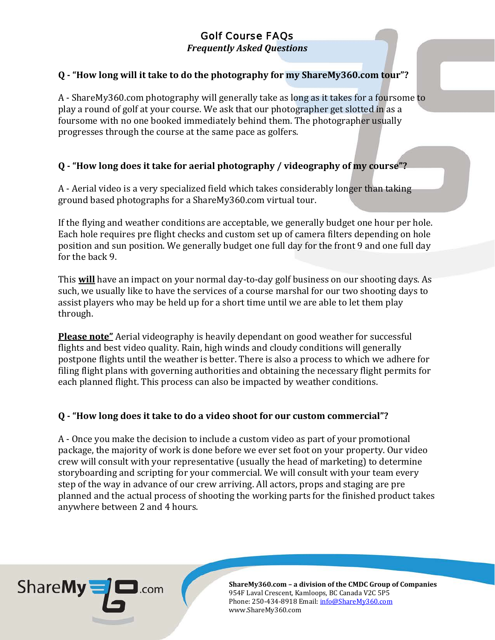*Frequently Asked Questions*

## **Q - "How long will it take to do the photography for my ShareMy360.com tour"?**

A - ShareMy360.com photography will generally take as long as it takes for a foursome to play a round of golf at your course. We ask that our photographer get slotted in as a foursome with no one booked immediately behind them. The photographer usually progresses through the course at the same pace as golfers.

## **Q - "How long does it take for aerial photography / videography of my course"?**

A - Aerial video is a very specialized field which takes considerably longer than taking ground based photographs for a ShareMy360.com virtual tour.

If the flying and weather conditions are acceptable, we generally budget one hour per hole. Each hole requires pre flight checks and custom set up of camera filters depending on hole position and sun position. We generally budget one full day for the front 9 and one full day for the back 9.

This **will** have an impact on your normal day-to-day golf business on our shooting days. As such, we usually like to have the services of a course marshal for our two shooting days to assist players who may be held up for a short time until we are able to let them play through.

**Please note"** Aerial videography is heavily dependant on good weather for successful flights and best video quality. Rain, high winds and cloudy conditions will generally postpone flights until the weather is better. There is also a process to which we adhere for filing flight plans with governing authorities and obtaining the necessary flight permits for each planned flight. This process can also be impacted by weather conditions.

## **Q - "How long does it take to do a video shoot for our custom commercial"?**

A - Once you make the decision to include a custom video as part of your promotional package, the majority of work is done before we ever set foot on your property. Our video crew will consult with your representative (usually the head of marketing) to determine storyboarding and scripting for your commercial. We will consult with your team every step of the way in advance of our crew arriving. All actors, props and staging are pre planned and the actual process of shooting the working parts for the finished product takes anywhere between 2 and 4 hours.

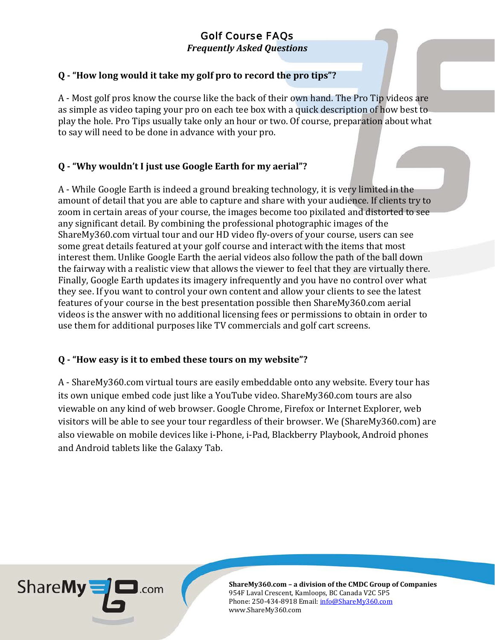*Frequently Asked Questions*

## **Q - "How long would it take my golf pro to record the pro tips"?**

A - Most golf pros know the course like the back of their own hand. The Pro Tip videos are as simple as video taping your pro on each tee box with a quick description of how best to play the hole. Pro Tips usually take only an hour or two. Of course, preparation about what to say will need to be done in advance with your pro.

## **Q - "Why wouldn't I just use Google Earth for my aerial"?**

A - While Google Earth is indeed a ground breaking technology, it is very limited in the amount of detail that you are able to capture and share with your audience. If clients try to zoom in certain areas of your course, the images become too pixilated and distorted to see any significant detail. By combining the professional photographic images of the ShareMy360.com virtual tour and our HD video fly-overs of your course, users can see some great details featured at your golf course and interact with the items that most interest them. Unlike Google Earth the aerial videos also follow the path of the ball down the fairway with a realistic view that allows the viewer to feel that they are virtually there. Finally, Google Earth updates its imagery infrequently and you have no control over what they see. If you want to control your own content and allow your clients to see the latest features of your course in the best presentation possible then ShareMy360.com aerial videos is the answer with no additional licensing fees or permissions to obtain in order to use them for additional purposes like TV commercials and golf cart screens.

## **Q - "How easy is it to embed these tours on my website"?**

A - ShareMy360.com virtual tours are easily embeddable onto any website. Every tour has its own unique embed code just like a YouTube video. ShareMy360.com tours are also viewable on any kind of web browser. Google Chrome, Firefox or Internet Explorer, web visitors will be able to see your tour regardless of their browser. We (ShareMy360.com) are also viewable on mobile devices like i-Phone, i-Pad, Blackberry Playbook, Android phones and Android tablets like the Galaxy Tab.

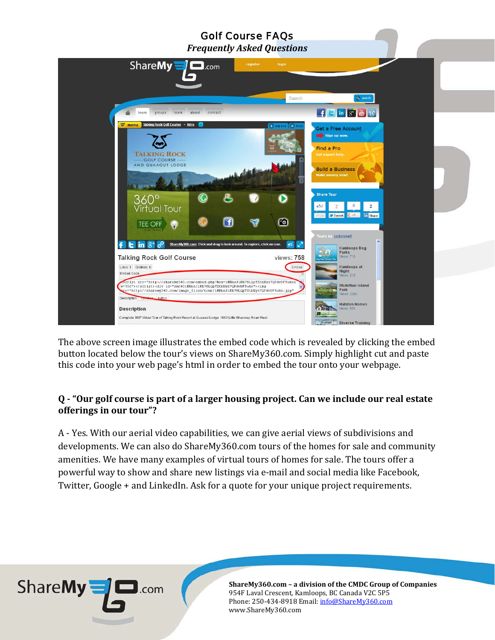*Frequently Asked Questions*



The above screen image illustrates the embed code which is revealed by clicking the embed button located below the tour's views on ShareMy360.com. Simply highlight cut and paste this code into your web page's html in order to embed the tour onto your webpage.

#### **Q - "Our golf course is part of a larger housing project. Can we include our real estate offerings in our tour"?**

A - Yes. With our aerial video capabilities, we can give aerial views of subdivisions and developments. We can also do ShareMy360.com tours of the homes for sale and community amenities. We have many examples of virtual tours of homes for sale. The tours offer a powerful way to show and share new listings via e-mail and social media like Facebook, Twitter, Google + and LinkedIn. Ask for a quote for your unique project requirements.

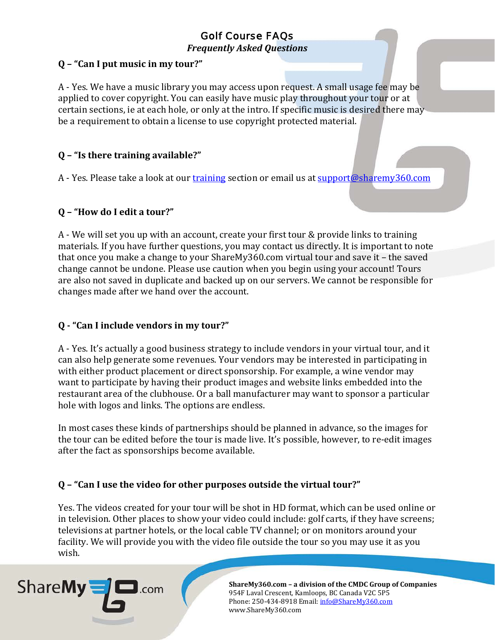*Frequently Asked Questions*

## **Q – "Can I put music in my tour?"**

A - Yes. We have a music library you may access upon request. A small usage fee may be applied to cover copyright. You can easily have music play throughout your tour or at certain sections, ie at each hole, or only at the intro. If specific music is desired there may be a requirement to obtain a license to use copyright protected material.

## **Q – "Is there training available?"**

A - Yes. Please take a look at our [training](http://sharemy360.com/learn.php) section or email us at [support@sharemy360.com](mailto:support@sharemy360.com)

## **Q – "How do I edit a tour?"**

A - We will set you up with an account, create your first tour & provide links to training materials. If you have further questions, you may contact us directly. It is important to note that once you make a change to your ShareMy360.com virtual tour and save it – the saved change cannot be undone. Please use caution when you begin using your account! Tours are also not saved in duplicate and backed up on our servers. We cannot be responsible for changes made after we hand over the account.

## **Q - "Can I include vendors in my tour?"**

A - Yes. It's actually a good business strategy to include vendors in your virtual tour, and it can also help generate some revenues. Your vendors may be interested in participating in with either product placement or direct sponsorship. For example, a wine vendor may want to participate by having their product images and website links embedded into the restaurant area of the clubhouse. Or a ball manufacturer may want to sponsor a particular hole with logos and links. The options are endless.

In most cases these kinds of partnerships should be planned in advance, so the images for the tour can be edited before the tour is made live. It's possible, however, to re-edit images after the fact as sponsorships become available.

## **Q – "Can I use the video for other purposes outside the virtual tour?"**

Yes. The videos created for your tour will be shot in HD format, which can be used online or in television. Other places to show your video could include: golf carts, if they have screens; televisions at partner hotels, or the local cable TV channel; or on monitors around your facility. We will provide you with the video file outside the tour so you may use it as you wish.